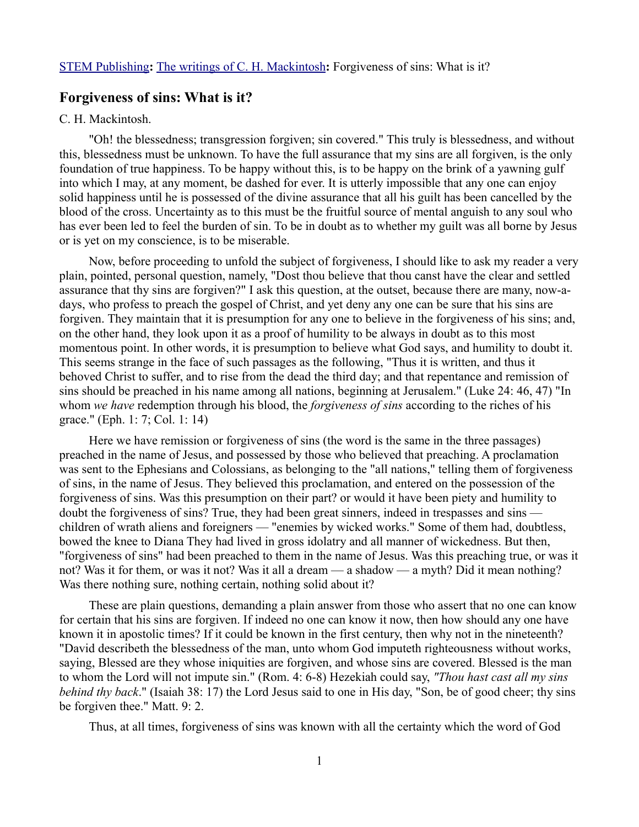## **Forgiveness of sins: What is it?**

### C. H. Mackintosh.

"Oh! the blessedness; transgression forgiven; sin covered." This truly is blessedness, and without this, blessedness must be unknown. To have the full assurance that my sins are all forgiven, is the only foundation of true happiness. To be happy without this, is to be happy on the brink of a yawning gulf into which I may, at any moment, be dashed for ever. It is utterly impossible that any one can enjoy solid happiness until he is possessed of the divine assurance that all his guilt has been cancelled by the blood of the cross. Uncertainty as to this must be the fruitful source of mental anguish to any soul who has ever been led to feel the burden of sin. To be in doubt as to whether my guilt was all borne by Jesus or is yet on my conscience, is to be miserable.

Now, before proceeding to unfold the subject of forgiveness, I should like to ask my reader a very plain, pointed, personal question, namely, "Dost thou believe that thou canst have the clear and settled assurance that thy sins are forgiven?" I ask this question, at the outset, because there are many, now-adays, who profess to preach the gospel of Christ, and yet deny any one can be sure that his sins are forgiven. They maintain that it is presumption for any one to believe in the forgiveness of his sins; and, on the other hand, they look upon it as a proof of humility to be always in doubt as to this most momentous point. In other words, it is presumption to believe what God says, and humility to doubt it. This seems strange in the face of such passages as the following, "Thus it is written, and thus it behoved Christ to suffer, and to rise from the dead the third day; and that repentance and remission of sins should be preached in his name among all nations, beginning at Jerusalem." (Luke 24: 46, 47) "In whom *we have* redemption through his blood, the *forgiveness of sins* according to the riches of his grace." (Eph. 1: 7; Col. 1: 14)

Here we have remission or forgiveness of sins (the word is the same in the three passages) preached in the name of Jesus, and possessed by those who believed that preaching. A proclamation was sent to the Ephesians and Colossians, as belonging to the "all nations," telling them of forgiveness of sins, in the name of Jesus. They believed this proclamation, and entered on the possession of the forgiveness of sins. Was this presumption on their part? or would it have been piety and humility to doubt the forgiveness of sins? True, they had been great sinners, indeed in trespasses and sins children of wrath aliens and foreigners — "enemies by wicked works." Some of them had, doubtless, bowed the knee to Diana They had lived in gross idolatry and all manner of wickedness. But then, "forgiveness of sins" had been preached to them in the name of Jesus. Was this preaching true, or was it not? Was it for them, or was it not? Was it all a dream — a shadow — a myth? Did it mean nothing? Was there nothing sure, nothing certain, nothing solid about it?

These are plain questions, demanding a plain answer from those who assert that no one can know for certain that his sins are forgiven. If indeed no one can know it now, then how should any one have known it in apostolic times? If it could be known in the first century, then why not in the nineteenth? "David describeth the blessedness of the man, unto whom God imputeth righteousness without works, saying, Blessed are they whose iniquities are forgiven, and whose sins are covered. Blessed is the man to whom the Lord will not impute sin." (Rom. 4: 6-8) Hezekiah could say, *"Thou hast cast all my sins behind thy back*." (Isaiah 38: 17) the Lord Jesus said to one in His day, "Son, be of good cheer; thy sins be forgiven thee." Matt. 9: 2.

Thus, at all times, forgiveness of sins was known with all the certainty which the word of God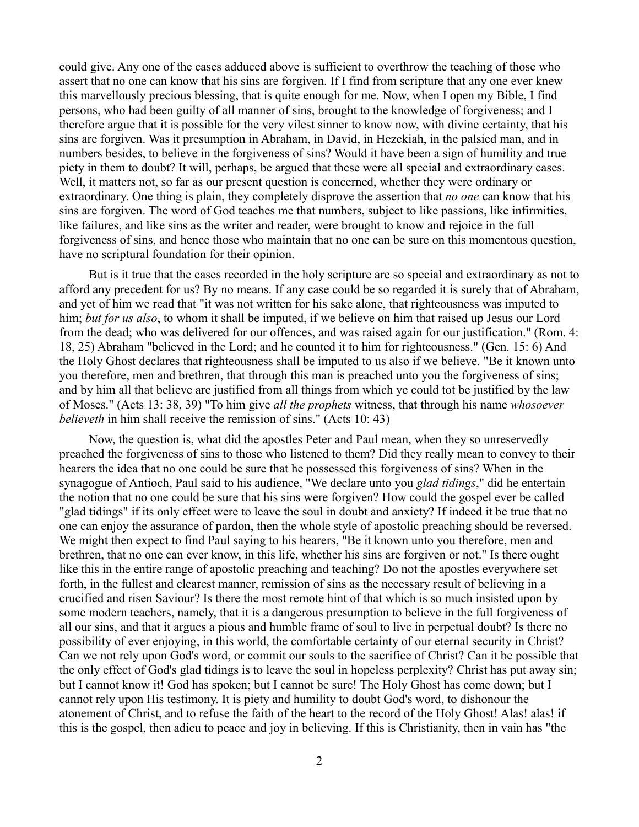could give. Any one of the cases adduced above is sufficient to overthrow the teaching of those who assert that no one can know that his sins are forgiven. If I find from scripture that any one ever knew this marvellously precious blessing, that is quite enough for me. Now, when I open my Bible, I find persons, who had been guilty of all manner of sins, brought to the knowledge of forgiveness; and I therefore argue that it is possible for the very vilest sinner to know now, with divine certainty, that his sins are forgiven. Was it presumption in Abraham, in David, in Hezekiah, in the palsied man, and in numbers besides, to believe in the forgiveness of sins? Would it have been a sign of humility and true piety in them to doubt? It will, perhaps, be argued that these were all special and extraordinary cases. Well, it matters not, so far as our present question is concerned, whether they were ordinary or extraordinary. One thing is plain, they completely disprove the assertion that *no one* can know that his sins are forgiven. The word of God teaches me that numbers, subject to like passions, like infirmities, like failures, and like sins as the writer and reader, were brought to know and rejoice in the full forgiveness of sins, and hence those who maintain that no one can be sure on this momentous question, have no scriptural foundation for their opinion.

But is it true that the cases recorded in the holy scripture are so special and extraordinary as not to afford any precedent for us? By no means. If any case could be so regarded it is surely that of Abraham, and yet of him we read that "it was not written for his sake alone, that righteousness was imputed to him; *but for us also*, to whom it shall be imputed, if we believe on him that raised up Jesus our Lord from the dead; who was delivered for our offences, and was raised again for our justification." (Rom. 4: 18, 25) Abraham "believed in the Lord; and he counted it to him for righteousness." (Gen. 15: 6) And the Holy Ghost declares that righteousness shall be imputed to us also if we believe. "Be it known unto you therefore, men and brethren, that through this man is preached unto you the forgiveness of sins; and by him all that believe are justified from all things from which ye could tot be justified by the law of Moses." (Acts 13: 38, 39) "To him give *all the prophets* witness, that through his name *whosoever believeth* in him shall receive the remission of sins." (Acts 10: 43)

Now, the question is, what did the apostles Peter and Paul mean, when they so unreservedly preached the forgiveness of sins to those who listened to them? Did they really mean to convey to their hearers the idea that no one could be sure that he possessed this forgiveness of sins? When in the synagogue of Antioch, Paul said to his audience, "We declare unto you *glad tidings*," did he entertain the notion that no one could be sure that his sins were forgiven? How could the gospel ever be called "glad tidings" if its only effect were to leave the soul in doubt and anxiety? If indeed it be true that no one can enjoy the assurance of pardon, then the whole style of apostolic preaching should be reversed. We might then expect to find Paul saying to his hearers, "Be it known unto you therefore, men and brethren, that no one can ever know, in this life, whether his sins are forgiven or not." Is there ought like this in the entire range of apostolic preaching and teaching? Do not the apostles everywhere set forth, in the fullest and clearest manner, remission of sins as the necessary result of believing in a crucified and risen Saviour? Is there the most remote hint of that which is so much insisted upon by some modern teachers, namely, that it is a dangerous presumption to believe in the full forgiveness of all our sins, and that it argues a pious and humble frame of soul to live in perpetual doubt? Is there no possibility of ever enjoying, in this world, the comfortable certainty of our eternal security in Christ? Can we not rely upon God's word, or commit our souls to the sacrifice of Christ? Can it be possible that the only effect of God's glad tidings is to leave the soul in hopeless perplexity? Christ has put away sin; but I cannot know it! God has spoken; but I cannot be sure! The Holy Ghost has come down; but I cannot rely upon His testimony. It is piety and humility to doubt God's word, to dishonour the atonement of Christ, and to refuse the faith of the heart to the record of the Holy Ghost! Alas! alas! if this is the gospel, then adieu to peace and joy in believing. If this is Christianity, then in vain has "the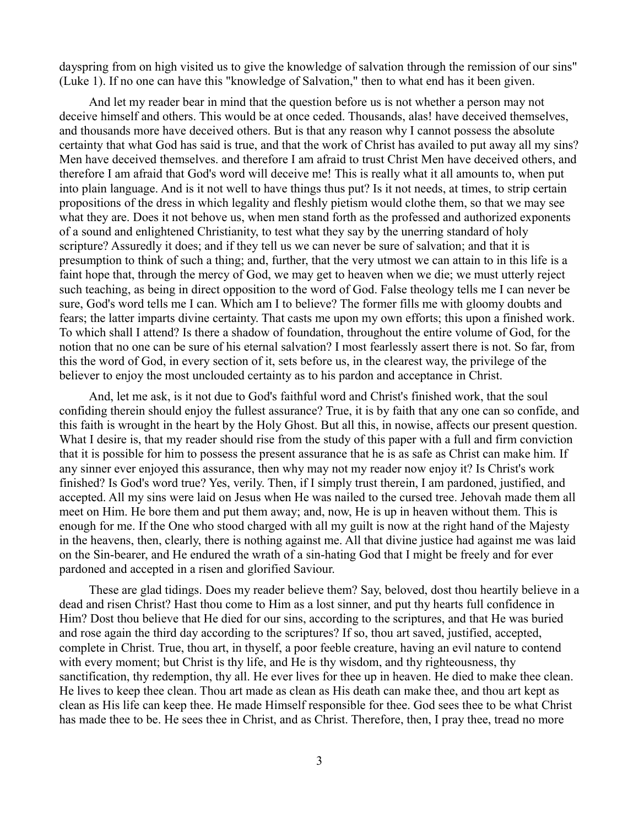dayspring from on high visited us to give the knowledge of salvation through the remission of our sins" (Luke 1). If no one can have this "knowledge of Salvation," then to what end has it been given.

And let my reader bear in mind that the question before us is not whether a person may not deceive himself and others. This would be at once ceded. Thousands, alas! have deceived themselves, and thousands more have deceived others. But is that any reason why I cannot possess the absolute certainty that what God has said is true, and that the work of Christ has availed to put away all my sins? Men have deceived themselves. and therefore I am afraid to trust Christ Men have deceived others, and therefore I am afraid that God's word will deceive me! This is really what it all amounts to, when put into plain language. And is it not well to have things thus put? Is it not needs, at times, to strip certain propositions of the dress in which legality and fleshly pietism would clothe them, so that we may see what they are. Does it not behove us, when men stand forth as the professed and authorized exponents of a sound and enlightened Christianity, to test what they say by the unerring standard of holy scripture? Assuredly it does; and if they tell us we can never be sure of salvation; and that it is presumption to think of such a thing; and, further, that the very utmost we can attain to in this life is a faint hope that, through the mercy of God, we may get to heaven when we die; we must utterly reject such teaching, as being in direct opposition to the word of God. False theology tells me I can never be sure, God's word tells me I can. Which am I to believe? The former fills me with gloomy doubts and fears; the latter imparts divine certainty. That casts me upon my own efforts; this upon a finished work. To which shall I attend? Is there a shadow of foundation, throughout the entire volume of God, for the notion that no one can be sure of his eternal salvation? I most fearlessly assert there is not. So far, from this the word of God, in every section of it, sets before us, in the clearest way, the privilege of the believer to enjoy the most unclouded certainty as to his pardon and acceptance in Christ.

And, let me ask, is it not due to God's faithful word and Christ's finished work, that the soul confiding therein should enjoy the fullest assurance? True, it is by faith that any one can so confide, and this faith is wrought in the heart by the Holy Ghost. But all this, in nowise, affects our present question. What I desire is, that my reader should rise from the study of this paper with a full and firm conviction that it is possible for him to possess the present assurance that he is as safe as Christ can make him. If any sinner ever enjoyed this assurance, then why may not my reader now enjoy it? Is Christ's work finished? Is God's word true? Yes, verily. Then, if I simply trust therein, I am pardoned, justified, and accepted. All my sins were laid on Jesus when He was nailed to the cursed tree. Jehovah made them all meet on Him. He bore them and put them away; and, now, He is up in heaven without them. This is enough for me. If the One who stood charged with all my guilt is now at the right hand of the Majesty in the heavens, then, clearly, there is nothing against me. All that divine justice had against me was laid on the Sin-bearer, and He endured the wrath of a sin-hating God that I might be freely and for ever pardoned and accepted in a risen and glorified Saviour.

These are glad tidings. Does my reader believe them? Say, beloved, dost thou heartily believe in a dead and risen Christ? Hast thou come to Him as a lost sinner, and put thy hearts full confidence in Him? Dost thou believe that He died for our sins, according to the scriptures, and that He was buried and rose again the third day according to the scriptures? If so, thou art saved, justified, accepted, complete in Christ. True, thou art, in thyself, a poor feeble creature, having an evil nature to contend with every moment; but Christ is thy life, and He is thy wisdom, and thy righteousness, thy sanctification, thy redemption, thy all. He ever lives for thee up in heaven. He died to make thee clean. He lives to keep thee clean. Thou art made as clean as His death can make thee, and thou art kept as clean as His life can keep thee. He made Himself responsible for thee. God sees thee to be what Christ has made thee to be. He sees thee in Christ, and as Christ. Therefore, then, I pray thee, tread no more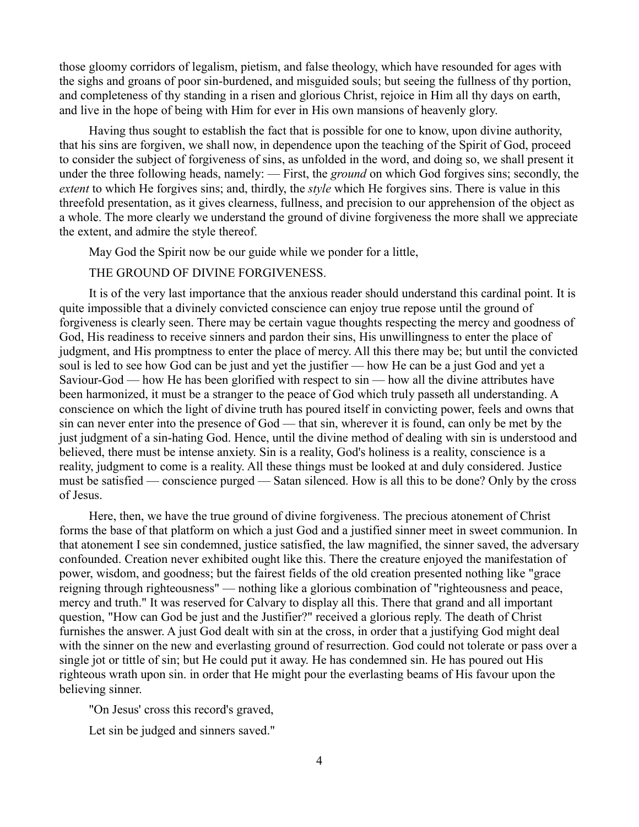those gloomy corridors of legalism, pietism, and false theology, which have resounded for ages with the sighs and groans of poor sin-burdened, and misguided souls; but seeing the fullness of thy portion, and completeness of thy standing in a risen and glorious Christ, rejoice in Him all thy days on earth, and live in the hope of being with Him for ever in His own mansions of heavenly glory.

Having thus sought to establish the fact that is possible for one to know, upon divine authority, that his sins are forgiven, we shall now, in dependence upon the teaching of the Spirit of God, proceed to consider the subject of forgiveness of sins, as unfolded in the word, and doing so, we shall present it under the three following heads, namely: — First, the *ground* on which God forgives sins; secondly, the *extent* to which He forgives sins; and, thirdly, the *style* which He forgives sins. There is value in this threefold presentation, as it gives clearness, fullness, and precision to our apprehension of the object as a whole. The more clearly we understand the ground of divine forgiveness the more shall we appreciate the extent, and admire the style thereof.

May God the Spirit now be our guide while we ponder for a little,

#### THE GROUND OF DIVINE FORGIVENESS.

It is of the very last importance that the anxious reader should understand this cardinal point. It is quite impossible that a divinely convicted conscience can enjoy true repose until the ground of forgiveness is clearly seen. There may be certain vague thoughts respecting the mercy and goodness of God, His readiness to receive sinners and pardon their sins, His unwillingness to enter the place of judgment, and His promptness to enter the place of mercy. All this there may be; but until the convicted soul is led to see how God can be just and yet the justifier — how He can be a just God and yet a Saviour-God — how He has been glorified with respect to sin — how all the divine attributes have been harmonized, it must be a stranger to the peace of God which truly passeth all understanding. A conscience on which the light of divine truth has poured itself in convicting power, feels and owns that sin can never enter into the presence of God — that sin, wherever it is found, can only be met by the just judgment of a sin-hating God. Hence, until the divine method of dealing with sin is understood and believed, there must be intense anxiety. Sin is a reality, God's holiness is a reality, conscience is a reality, judgment to come is a reality. All these things must be looked at and duly considered. Justice must be satisfied — conscience purged — Satan silenced. How is all this to be done? Only by the cross of Jesus.

Here, then, we have the true ground of divine forgiveness. The precious atonement of Christ forms the base of that platform on which a just God and a justified sinner meet in sweet communion. In that atonement I see sin condemned, justice satisfied, the law magnified, the sinner saved, the adversary confounded. Creation never exhibited ought like this. There the creature enjoyed the manifestation of power, wisdom, and goodness; but the fairest fields of the old creation presented nothing like "grace reigning through righteousness" — nothing like a glorious combination of "righteousness and peace, mercy and truth." It was reserved for Calvary to display all this. There that grand and all important question, "How can God be just and the Justifier?" received a glorious reply. The death of Christ furnishes the answer. A just God dealt with sin at the cross, in order that a justifying God might deal with the sinner on the new and everlasting ground of resurrection. God could not tolerate or pass over a single jot or tittle of sin; but He could put it away. He has condemned sin. He has poured out His righteous wrath upon sin. in order that He might pour the everlasting beams of His favour upon the believing sinner.

"On Jesus' cross this record's graved,

Let sin be judged and sinners saved."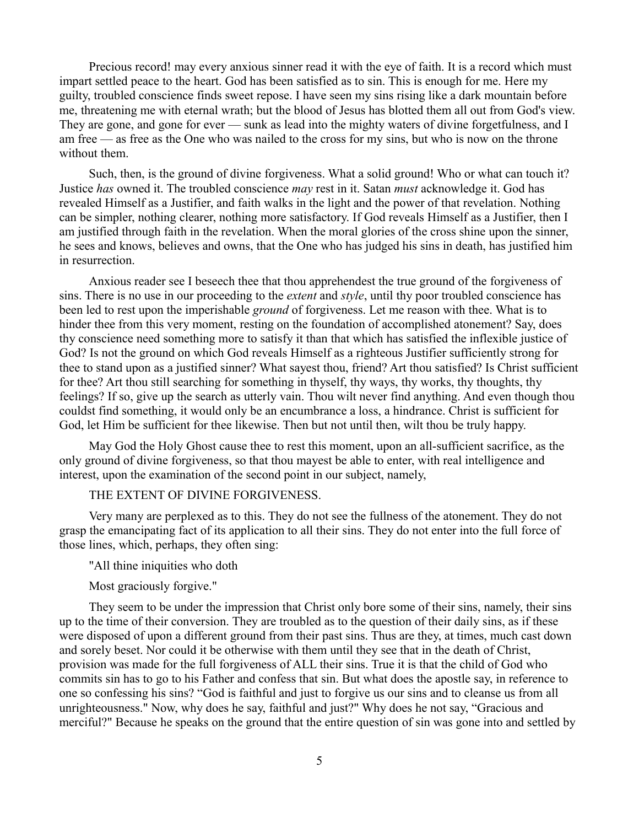Precious record! may every anxious sinner read it with the eye of faith. It is a record which must impart settled peace to the heart. God has been satisfied as to sin. This is enough for me. Here my guilty, troubled conscience finds sweet repose. I have seen my sins rising like a dark mountain before me, threatening me with eternal wrath; but the blood of Jesus has blotted them all out from God's view. They are gone, and gone for ever — sunk as lead into the mighty waters of divine forgetfulness, and I am free — as free as the One who was nailed to the cross for my sins, but who is now on the throne without them.

Such, then, is the ground of divine forgiveness. What a solid ground! Who or what can touch it? Justice *has* owned it. The troubled conscience *may* rest in it. Satan *must* acknowledge it. God has revealed Himself as a Justifier, and faith walks in the light and the power of that revelation. Nothing can be simpler, nothing clearer, nothing more satisfactory. If God reveals Himself as a Justifier, then I am justified through faith in the revelation. When the moral glories of the cross shine upon the sinner, he sees and knows, believes and owns, that the One who has judged his sins in death, has justified him in resurrection.

Anxious reader see I beseech thee that thou apprehendest the true ground of the forgiveness of sins. There is no use in our proceeding to the *extent* and *style*, until thy poor troubled conscience has been led to rest upon the imperishable *ground* of forgiveness. Let me reason with thee. What is to hinder thee from this very moment, resting on the foundation of accomplished atonement? Say, does thy conscience need something more to satisfy it than that which has satisfied the inflexible justice of God? Is not the ground on which God reveals Himself as a righteous Justifier sufficiently strong for thee to stand upon as a justified sinner? What sayest thou, friend? Art thou satisfied? Is Christ sufficient for thee? Art thou still searching for something in thyself, thy ways, thy works, thy thoughts, thy feelings? If so, give up the search as utterly vain. Thou wilt never find anything. And even though thou couldst find something, it would only be an encumbrance a loss, a hindrance. Christ is sufficient for God, let Him be sufficient for thee likewise. Then but not until then, wilt thou be truly happy.

May God the Holy Ghost cause thee to rest this moment, upon an all-sufficient sacrifice, as the only ground of divine forgiveness, so that thou mayest be able to enter, with real intelligence and interest, upon the examination of the second point in our subject, namely,

## THE EXTENT OF DIVINE FORGIVENESS.

Very many are perplexed as to this. They do not see the fullness of the atonement. They do not grasp the emancipating fact of its application to all their sins. They do not enter into the full force of those lines, which, perhaps, they often sing:

#### "All thine iniquities who doth

# Most graciously forgive."

They seem to be under the impression that Christ only bore some of their sins, namely, their sins up to the time of their conversion. They are troubled as to the question of their daily sins, as if these were disposed of upon a different ground from their past sins. Thus are they, at times, much cast down and sorely beset. Nor could it be otherwise with them until they see that in the death of Christ, provision was made for the full forgiveness of ALL their sins. True it is that the child of God who commits sin has to go to his Father and confess that sin. But what does the apostle say, in reference to one so confessing his sins? "God is faithful and just to forgive us our sins and to cleanse us from all unrighteousness." Now, why does he say, faithful and just?" Why does he not say, "Gracious and merciful?" Because he speaks on the ground that the entire question of sin was gone into and settled by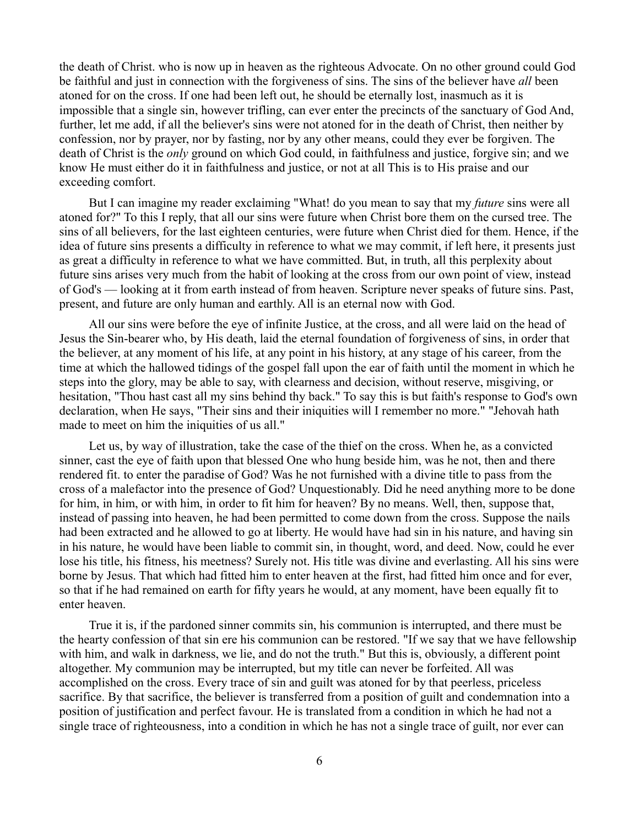the death of Christ. who is now up in heaven as the righteous Advocate. On no other ground could God be faithful and just in connection with the forgiveness of sins. The sins of the believer have *all* been atoned for on the cross. If one had been left out, he should be eternally lost, inasmuch as it is impossible that a single sin, however trifling, can ever enter the precincts of the sanctuary of God And, further, let me add, if all the believer's sins were not atoned for in the death of Christ, then neither by confession, nor by prayer, nor by fasting, nor by any other means, could they ever be forgiven. The death of Christ is the *only* ground on which God could, in faithfulness and justice, forgive sin; and we know He must either do it in faithfulness and justice, or not at all This is to His praise and our exceeding comfort.

But I can imagine my reader exclaiming "What! do you mean to say that my *future* sins were all atoned for?" To this I reply, that all our sins were future when Christ bore them on the cursed tree. The sins of all believers, for the last eighteen centuries, were future when Christ died for them. Hence, if the idea of future sins presents a difficulty in reference to what we may commit, if left here, it presents just as great a difficulty in reference to what we have committed. But, in truth, all this perplexity about future sins arises very much from the habit of looking at the cross from our own point of view, instead of God's — looking at it from earth instead of from heaven. Scripture never speaks of future sins. Past, present, and future are only human and earthly. All is an eternal now with God.

All our sins were before the eye of infinite Justice, at the cross, and all were laid on the head of Jesus the Sin-bearer who, by His death, laid the eternal foundation of forgiveness of sins, in order that the believer, at any moment of his life, at any point in his history, at any stage of his career, from the time at which the hallowed tidings of the gospel fall upon the ear of faith until the moment in which he steps into the glory, may be able to say, with clearness and decision, without reserve, misgiving, or hesitation, "Thou hast cast all my sins behind thy back." To say this is but faith's response to God's own declaration, when He says, "Their sins and their iniquities will I remember no more." "Jehovah hath made to meet on him the iniquities of us all."

Let us, by way of illustration, take the case of the thief on the cross. When he, as a convicted sinner, cast the eye of faith upon that blessed One who hung beside him, was he not, then and there rendered fit. to enter the paradise of God? Was he not furnished with a divine title to pass from the cross of a malefactor into the presence of God? Unquestionably. Did he need anything more to be done for him, in him, or with him, in order to fit him for heaven? By no means. Well, then, suppose that, instead of passing into heaven, he had been permitted to come down from the cross. Suppose the nails had been extracted and he allowed to go at liberty. He would have had sin in his nature, and having sin in his nature, he would have been liable to commit sin, in thought, word, and deed. Now, could he ever lose his title, his fitness, his meetness? Surely not. His title was divine and everlasting. All his sins were borne by Jesus. That which had fitted him to enter heaven at the first, had fitted him once and for ever, so that if he had remained on earth for fifty years he would, at any moment, have been equally fit to enter heaven.

True it is, if the pardoned sinner commits sin, his communion is interrupted, and there must be the hearty confession of that sin ere his communion can be restored. "If we say that we have fellowship with him, and walk in darkness, we lie, and do not the truth." But this is, obviously, a different point altogether. My communion may be interrupted, but my title can never be forfeited. All was accomplished on the cross. Every trace of sin and guilt was atoned for by that peerless, priceless sacrifice. By that sacrifice, the believer is transferred from a position of guilt and condemnation into a position of justification and perfect favour. He is translated from a condition in which he had not a single trace of righteousness, into a condition in which he has not a single trace of guilt, nor ever can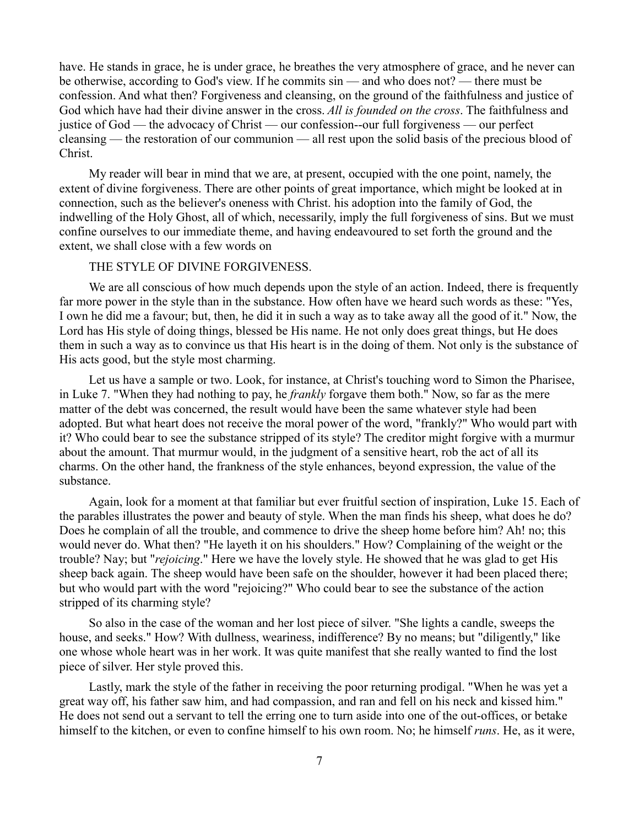have. He stands in grace, he is under grace, he breathes the very atmosphere of grace, and he never can be otherwise, according to God's view. If he commits sin — and who does not? — there must be confession. And what then? Forgiveness and cleansing, on the ground of the faithfulness and justice of God which have had their divine answer in the cross. *All is founded on the cross*. The faithfulness and justice of God — the advocacy of Christ — our confession--our full forgiveness — our perfect cleansing — the restoration of our communion — all rest upon the solid basis of the precious blood of Christ.

My reader will bear in mind that we are, at present, occupied with the one point, namely, the extent of divine forgiveness. There are other points of great importance, which might be looked at in connection, such as the believer's oneness with Christ. his adoption into the family of God, the indwelling of the Holy Ghost, all of which, necessarily, imply the full forgiveness of sins. But we must confine ourselves to our immediate theme, and having endeavoured to set forth the ground and the extent, we shall close with a few words on

#### THE STYLE OF DIVINE FORGIVENESS.

We are all conscious of how much depends upon the style of an action. Indeed, there is frequently far more power in the style than in the substance. How often have we heard such words as these: "Yes, I own he did me a favour; but, then, he did it in such a way as to take away all the good of it." Now, the Lord has His style of doing things, blessed be His name. He not only does great things, but He does them in such a way as to convince us that His heart is in the doing of them. Not only is the substance of His acts good, but the style most charming.

Let us have a sample or two. Look, for instance, at Christ's touching word to Simon the Pharisee, in Luke 7. "When they had nothing to pay, he *frankly* forgave them both." Now, so far as the mere matter of the debt was concerned, the result would have been the same whatever style had been adopted. But what heart does not receive the moral power of the word, "frankly?" Who would part with it? Who could bear to see the substance stripped of its style? The creditor might forgive with a murmur about the amount. That murmur would, in the judgment of a sensitive heart, rob the act of all its charms. On the other hand, the frankness of the style enhances, beyond expression, the value of the substance.

Again, look for a moment at that familiar but ever fruitful section of inspiration, Luke 15. Each of the parables illustrates the power and beauty of style. When the man finds his sheep, what does he do? Does he complain of all the trouble, and commence to drive the sheep home before him? Ah! no; this would never do. What then? "He layeth it on his shoulders." How? Complaining of the weight or the trouble? Nay; but "*rejoicing*." Here we have the lovely style. He showed that he was glad to get His sheep back again. The sheep would have been safe on the shoulder, however it had been placed there; but who would part with the word "rejoicing?" Who could bear to see the substance of the action stripped of its charming style?

So also in the case of the woman and her lost piece of silver. "She lights a candle, sweeps the house, and seeks." How? With dullness, weariness, indifference? By no means; but "diligently," like one whose whole heart was in her work. It was quite manifest that she really wanted to find the lost piece of silver. Her style proved this.

Lastly, mark the style of the father in receiving the poor returning prodigal. "When he was yet a great way off, his father saw him, and had compassion, and ran and fell on his neck and kissed him." He does not send out a servant to tell the erring one to turn aside into one of the out-offices, or betake himself to the kitchen, or even to confine himself to his own room. No; he himself *runs*. He, as it were,